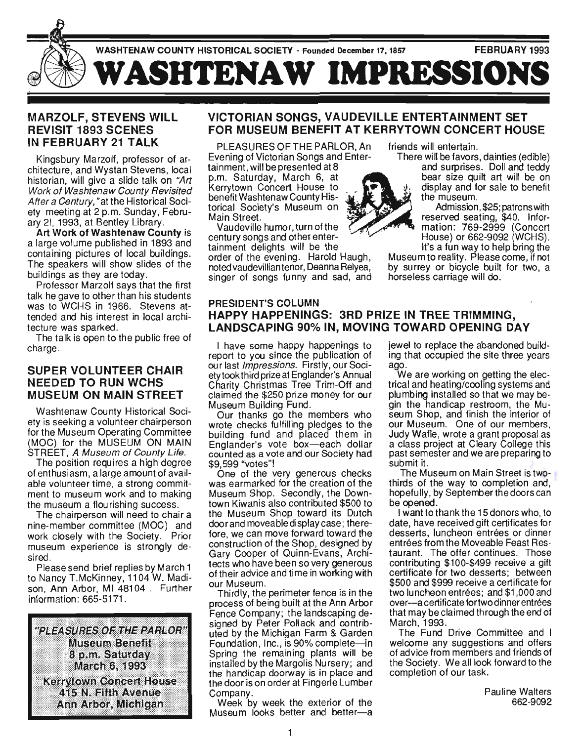

#### MARZOLF, STEVENS WILL REVISIT 1893 SCENES IN FEBRUARY 21 TALK

Kingsbury Marzolf, professor of architecture, and Wystan Stevens, local historian, will give a slide talk on "Art Work of Washtenaw County Revisited After a Century," at the Historical Society meeting at 2 p.m. Sunday, February 21, 1993, at Bentley Library.

Art Work of Washtenaw County is a large volume published in 1893 and containing pictures of local buildings. The speakers will show slides of the buildings as they are today.

Professor Marzolf says that the first talk he gave to other than his students was to WCHS in 1966. Stevens attended and his interest in local architecture was sparked.

ture was spained.<br>he talk is open to the public free of **charge.**<br>horeo

#### SUPER VOLUNTEER CHAIR NEEDED TO RUN WCHS MUSEUM ON MAIN STREET

Washtenaw County Historical Society is seeking a volunteer chairperson for the Museum Operating Committee (MOC) for the MUSEUM ON MAIN STREET, A Museum of County Life.

The position requires a high degree of enthusiasm, a large amount of available volunteer time, a strong commitment to museum work and to making the museum a flourishing success .

The chairperson will need to chair a nine-member committee (MOC) and work closely with the Society. Prior museum experience is strongly desired.

Please send brief replies by March 1 to Nancy T.McKinney, 1104 W. Madison, Ann Arbor, MI 48104 . Further information : 665-5171.



#### VICTORIAN SONGS, VAUDEVILLE ENTERTAINMENT SET FOR MUSEUM BENEFIT AT KERRYTOWN CONCERT HOUSE

PLEASURES OF THE PARLOR, An Evening of Victorian Songs and Enter-

tainment, will be presented at 8 p.m. Saturday, March 6, at Kerry town Concert House to benefit Washtenaw County Historical Society's Museum on Main Street.

Vaudeville humor, turn ofthe century songs and other entertainment delights will be the order of the evening. Harold Haugh, noted vaudevillian tenor, Deanna Relyea, singer of songs funny and sad, and friends will entertain.

There will be favors, dainties (edible) and surprises. Doll and teddy

bear size quilt art will be on display and for sale to benefit the museum.

Admission, \$25; patrons with reserved seating, \$40. Inforsserved seating, \$40. millor=<br>refiere: 760-2000 (Concert MONS OR 662 0002 (WORLD).<br>HOUSE, 202-2999 (WORLD).  $\frac{1}{2}$  a fun way to help bring the  $\frac{1}{2}$ 

It's a fun way to help bring the<br>Museum to reality. Please come, if not by surrey or bicycle built for two, a horseless carriage will do.

#### PRESIDENT'S COLUMN HAPPY HAPPENINGS: 3RD PRIZE IN TREE TRIMMING, LANDSCAPING 90% IN, MOVING TOWARD OPENING DAY

I have some happy happenings to reproduce to you cince the publication of sport to you since the publication of our last *Impressions*. Firstly, our Soci-<br>ety took third prize at Englander's Annual Charity Christmas Tree Trim-Off and claimed the \$250 prize money for our Museum Building Fund.

Our thanks go the members who Wrote checks fulfilling pledges to the building fund and placed them in building fund and placed them in<br>Englander's vote box-each dollar counted as a vote and our Society had \$9,599 "votes"!

One of the very generous checks was earmarked for the creation of the Museum Shop. Secondly, the Downtown Kiwanis also contributed \$500 to the Museum Shop toward its Dutch door and moveable display case; therefore, we can move forward toward the construction of the Shop, designed by Gary Cooper of Quinn-Evans, Architects who have been so very generous of their advice and time in working with our Museum.

Thirdly, the perimeter fence is in the process of being built at the Ann Arbor Fence Company; the landscaping designed by Peter Pollack and contributed by the Michigan Farm & Garden Foundation, Inc., is 90% complete-in Foundation, Inc., is 90% complete--in<br>Spring the remaining plants will be pring the remaining plants will be the handicap domination is in place and the handicap domination in place and the Handicap doctively is in place and<br>redeer is an erder at Fingerle Lumber COULISU

IIIpally.<br>Veek by week the exterior of the Week by week the exterior of the<br>Weever looks better and better-a jewel to replace the abandoned building that occupied the site three years ry ເກດ<br>ຕິດ

ago.<br>We are working on getting the electrical and heating/cooling systems and plumbing installed so that we may beightly installed so that we hay be-<br>in the handican restroom, the Mu- $\frac{1}{2}$  in the nandicap restroom, the interior of our Museum. One of our members, Judy Wafle, wrote a grant proposal as a class project at Cleary College this pass project at Gleary College this past semester and we are preparing to<br>submit it.

The Museum on Main Street is twothirds of the way to completion and,  $m = 0$  in the way to completion and, operuny, by a

be opened.<br>I want to thank the 15 donors who, to date, have received gift certificates for desserts, luncheon entrées or dinner entrées from the Moveable Feast Restaurant. The offer continues. Those contributing \$100-\$499 receive a gift certificate for two desserts; between \$500 and \$999 receive a certificate for two luncheon entrées; and \$1,000 and over-a certificate for two dinner entrées that may be claimed through the end of March, 1993.

The Fund Drive Committee and I THE FUIN DIRE COMMITTEE AND T of advice from members and friends of the Society. We all look forward to the le Society. We all look it

> Pauline Walters 662-9092

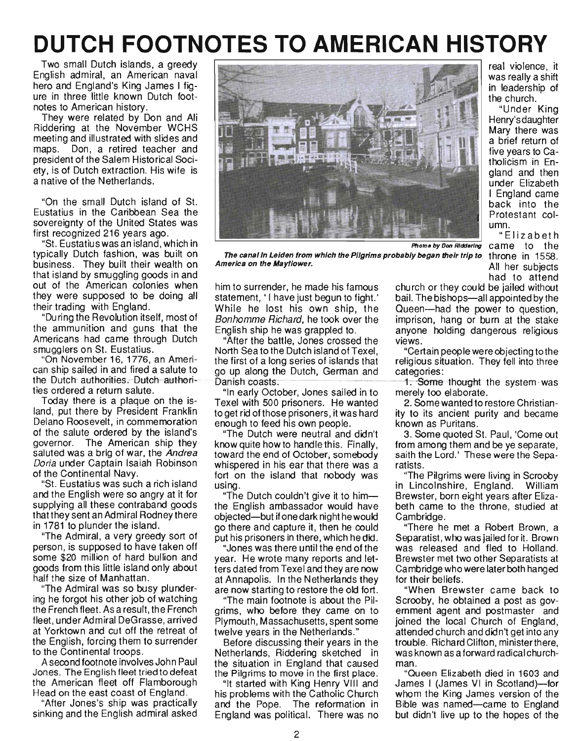# **DUTCH FOOTNOTES TO AMERICAN HISTORY**

Two small Dutch islands, a greedy English admiral, an American naval hero and England's King James I figure in three little known Dutch footnotes to American history.

They were related by Don and Ali Riddering at the November WCHS meeting and illustrated with slides and maps. Don, a retired teacher and president of the Salem Historical Society, is of Dutch extraction. His wife is a native of the Netherlands.

"On the small Dutch island of St. Eustatius in the Caribbean Sea the sovereignty of the United States was first recognized 216 years ago.

"St. Eustatius was an island, which in typically Dutch fashion, was built on business. They built their wealth on that island by smuggling goods in and out of the American colonies when they were supposed to be doing all their trading with England.

"During the Revolution itself, most of the ammunition and guns that the Americans had came through Dutch smugglers on St. Eustatius.

"On November 16, 1776, an American ship sailed in and fired a salute to the Dutch-authorities.- Dutch-authorities ordered a return salute.

Today there is a plaque on the island, put there by President Franklin Delano Roosevelt, in commemoration of the salute ordered by the island's governor. The American ship they saluted was a brig of war, the Andrea Doria under Captain Isaiah Robinson of the Continental Navy.

. "St. Eustatius was such a rich island and the English were so angry at it for supplying all these contraband goods that they sent an Admiral Rodney there in 1781 to plunder the island.

"The Admiral, a very greedy sort of person, is supposed to have taken off some \$20 million of hard bullion and goods from this little island only about half the size of Manhattan.

"The Admiral was so busy plundering he forgot his other job of watching the French fleet. As a result, the French fleet, under Admiral DeGrasse, arrived at Yorktown and cut off the retreat of the English, forcing them to surrender to the Continental troops.

A second footnote involves John Paul Jones. The English fleet tried to defeat the American fleet off Flamborough Head on the east coast of England.

"After Jones's ship was practically sinking and the English admiral asked



The canal in Leiden from which the Pilgrims probably began their trip to  $\,$  throne  $\,$  in  $\,$  1558  $\,$ America on the Mayflower.

real violence, it was really a shift in leadership of the church.

"Under King Henry's daughter Mary there was a brief return of five years to Catholicism in England and then under Elizabeth I England came back into the Protestant column.

"Elizabeth came to the All her subjects had to attend

"After the battle, Jones crossed the views. North Sea tothe Dutch island of Texel, "Certain people were objecting tothe the first of a long series of islands that religious situation. They fell into three go up along the Dutch, German and categories: Danish coasts. - -- -- .- ------1-.-some thotlght-the-system-was

"In early October, Jones sailed in to merely too elaborate. Texel with 500 prisoners. He wanted 2. Some wanted to restore Christianto get rid of those prisoners, it was hard ity to its ancient purity and became enough to feed his own people. Known as Puritans.

know quite how to handle this. Finally, from among them and be ye separate, toward the end of October, somebody saith the Lord.' These were the Sepawhispered in his ear that there was a ratists. fort on the island that nobody was "The Pilgrims were living in Scrooby using. in Lincolnshire, England. William

the English ambassador would have beth came to the throne, studied at objected-but if one dark night he would Cambridge. go there and capture it, then he could "There he met a Robert Brown, a put his prisoners in there, which he did. Separatist, who was jailed for it. Brown

year. He wrote many reports and let- Brewster met two other Separatists at ters dated from Texel and they are now Cambridge who were later both hanged at Annapolis. In the Netherlands they for their beliefs. are now starting to restore the old fort. "When Brewster came back to

grims, who before they came on to ernment agent and postmaster and Plymouth, Massachusetts, spent some joined the local Church of England, twelve years in the Netherlands." attended church and didn't get into any

Netherlands, Riddering sketched in was known as a forward radical churchthe situation in England that caused man. the Pilgrims to move in the first place. "Queen Elizabeth died in 1603 and

his problems with the Catholic Church whom the King James version of the and the Pope. The reformation in Bible was named—came to England England was political. There was no but didn't live up to the hopes of the

him to surrender, he made his famous church or they could be jailed without statement, 'I have just begun to fight.' bail. The bishops-all appointed by the While he lost his own ship, the Queen-had the power to question, Bonhomme Richard, he took over the imprison, hang or burn at the stake English ship he was grappled to. anyone holding dangerous religious

"The Dutch were neutral and didn't 3. Some quoted St. Paul, 'Come out

"The Dutch couldn't give it to him--- Brewster, born eight years after Eliza-

"Jones was there until the end of the was released and fled to Holland.

"The main footnote is about the Pil- Scrooby, he obtained a post as gov-Before discussing their years in the trouble. Richard Clifton, ministerthere,

"It started with King Henry VIII and James I (James VI in Scotland)-for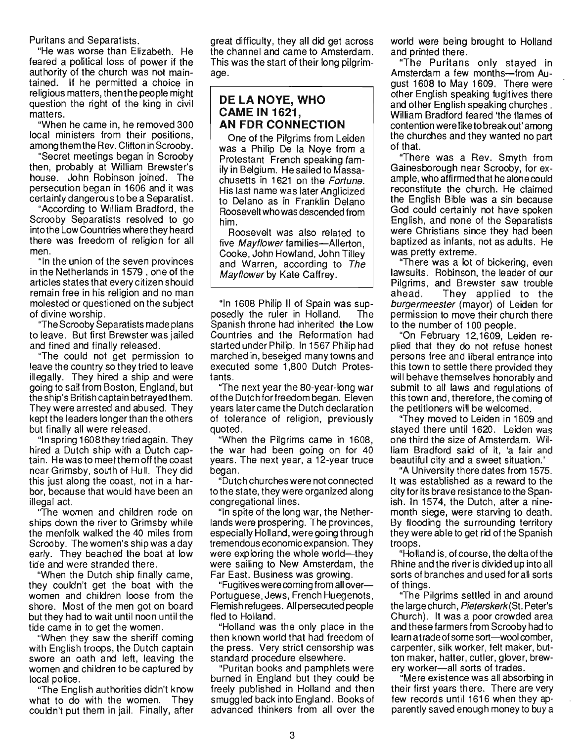Puritans and Separatists.

"He was worse than Elizabeth. He feared a political loss of power if the authority of the church was not maintained. If he permitted a choice in religious matters, then the people might question the right of the king in civil matters.

"When he came in, he removed 300 local ministers from their positions, among them the Rev. Clifton in Scrooby.

"Secret meetings began in Scrooby then, probably at William Brewster's house. John Robinson joined. The persecution began in 1606 and it was certainly dangerou s to be a Separatist.

"According to William Bradford, the Scrooby Separatists resolved to go into the Low Countries where they heard there was freedom of religion for all men.

"In the union of the seven provinces in the Netherlands in 1579 , one of the articles states that every citizen should remain free in his religion and no man molested or questioned on the subject of divine worship.

"The Scrooby Separatists made plans to leave. But first Brewster was jailed and fined and finally released.

"The could not get permission to leave the country so they tried to leave illegally. They hired a ship and were going to sail from Boston, England, but the ship's British captain betrayed them. They were arrested and abused. They kept the leaders longer than the others but finally all were released.

"In spring 1608theytried again. They hired a Dutch ship with a Dutch captain. He was to meet them off the coast near Grimsby, south of Hull. They did this just along the coast, not in a harbor, because that would have been an illegal act.

"The women and children rode on ships down the river to Grimsby while the menfolk walked the 40 miles from Scrooby. The women's ship was a day early. They beached the boat at low tide and were stranded there.

"When the Dutch ship finally came, they couldn't get the boat with the women and children loose from the shore. Most of the men got on board but they had to wait until noon until the tide came in to get the women.

"When they saw the sheriff coming with English troops, the Dutch captain swore an oath and left, leaving the women and children to be captured by local police.

"The English authorities didn't know what to do with the women. They couldn't put them in jail. Finally, after great difficulty, they all did get across the channel and came to Amsterdam. This was the start of their long pilgrimage.

#### **DE LA NOVE, WHO CAME IN 1621, AN FDR CONNECTION**

One of the Pilgrims from Leiden was a Philip De la Noye from a Protestant French speaking family in Belgium. He sailed to Massachusetts in 1621 on the Fortune. His last name was later Anglicized to Delano as in Franklin Delano Roosevelt who was descended from him.

Roosevelt was also related to five *Mayflower* families--Allerton, Cooke, John Howland, John Tilley and Warren, according to The Mayflower by Kate Caffrey.

"In 1608 Philip II of Spain was supposedly the ruler in Holland. The Spanish throne had inherited the Low Countries and the Reformation had started under Philip. In 1567 Philip had marched in, beseiged many towns and executed some 1,800 Dutch Protestants .

"The next year the 80-year-long war of the Dutch for freedom began. Eleven years later came the Dutch declaration of tolerance of religion, previously quoted.

"When the Pilgrims came in 1608, the war had been going on for 40 years. The next year, a 12-year truce began.

"Dutch chu rches were not connected to the state, they were organized along congregational lines.

"In spite of the long war, the Netherlands were prospering. The provinces, especially Holland, were going through tremendous economic expansion. They were exploring the whole world-they were sailing to New Amsterdam, the Far East. Business was growing.

"Fugitives were coming from all over-Portuguese, Jews, French Huegenots, Flemish refugees. All persecuted people fled to Holland.

"Holland was the only place in the then known world that had freedom of the press. Very strict censorship was standard procedure elsewhere.

"Puritan books and pamphlets were burned in England but they could be freely published in Holland and then smuggled back into England. Books of advanced thinkers from all over the world were being brought to Holland and printed there.

"The Puritans only stayed in Amsterdam a few months-from August 1608 to May 1609. There were other English speaking fugitives there and other English speaking churches. William Bradford feared 'the flames of contention were like to break out' among the churches and they wanted no part of that.

"There was a Rev. Smyth from Gainesborough near Scrooby, for example, who affirmed that he alone could reconstitute the church. He claimed the English Bible was a sin because God could certainly not have spoken English, and none of the Separatists were Christians since they had been baptized as infants, not as adults. He was pretty extreme.

"There was a lot of bickering, even lawsuits. Robinson, the leader of our Pilgrims, and Brewster saw trouble ahead. They applied to the burgermeester (mayor) of Leiden for permission to move their church there to the number of 100 people.

"On February 12,1609, Leiden replied that they do not refuse honest persons free and liberal entrance into this town to settle there provided they will behave themselves honorably and submit to all laws and regulations of this town and, therefore, the coming of the petitioners will be welcomed.

"They moved to Leiden in 1609 and stayed there until 1620. Leiden was one third the size of Amsterdam. William Bradford said of it, 'a fair and beautiful city and a sweet situation.'

"A University there dates from 1575. It was established as a reward to the city for its brave resistance to the Spanish. In 1574, the Dutch, after a ninemonth siege, were starving to death. By flooding the surrounding territory they were able to get rid of the Spanish troops.

"Holland is, of course, the detta of the Rhine and the river is divided up into all sorts of branches and used for all sorts of things.

"The Pilgrims settled in and around the large church, Pieterskerk(St. Peter's Church}. It was a poor crowded area and these farmers from Scrooby had to learn a trade of some sort--wool comber, carpenter, silk worker, felt maker, button maker, hatter, cutler, glover, brewery worker-all sorts of trades.

"Mere existence was all absorbing in their first years there. There are very few records until 1616 when they apparently saved enough money to buy a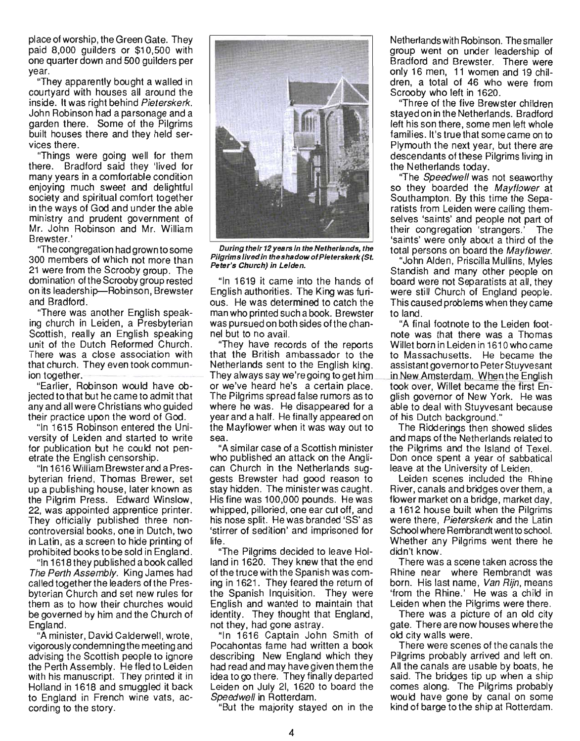place of worship, the Green Gate. They paid 8,000 guilders or \$10,SOO with one quarter down and 500 guilders per year.

"They apparently bought a walled in courtyard with houses all around the inside. It was right behind Pieterskerk. John Robinson had a parsonage and a garden there. Some of the Pilgrims built houses there and they held services there.

"Things were going well for them there. Bradford said they 'lived for many years in a comfortable condition enjoying much sweet and delightful society and spiritual comfort together in the ways of God and under the able ministry and prudent government of Mr. John Robinson and Mr. William Brewster.'

"The congregation had grown to some 300 members of which not more than 21 were from the Scrooby group. The domination of the Scrooby group rested on its leadership-Robinson, Brewster and Bradford.

"There was another English speaking church in Leiden, a Presbyterian Scottish, really an English speaking unit of the Dutch Reformed Church. There was a close association with that church. They even took communion together.

"Earlier, Robinson would have objected to that but he came to admit that any and all were Christians who guided their practice upon the word of God.

"In 1615 Robinson entered the University of Leiden and started to write for publication but he could not penetrate the English censorship.

"In 1616 William Brewster and a Presbyterian friend, Thomas Brewer, set up a publishing house, later known as the Pilgrim Press. Edward Winslow, 22, was appointed apprentice printer. They officially published three noncontroversial books, one in Dutch, two in Latin, as a screen to hide printing of prohibited books to be sold in England.

"In 1618 they published a book called The Perth Assembly. King James had called together the leaders ofthe Presbyterian Church and set new rules for them as to how their churches would be governed by him and the Church of England.

"A minister, David Calderwell, wrote, vigorously condemning the meeting and advising the Scottish people to ignore the Perth Assembly. He fled to Leiden with his manuscript. They printed it in Holland in 1618 and smuggled it back to England in French wine vats, according to the story.



During their 12 years In the Netherlands, the Pilgrims lived in the shadow of Pleterskerk (St. Peter's Church) in Lelden.

English authorities. The King was furi- were still Church of England people. ous. He was determined to catch the This caused problems when they came man who printed such a book. Brewster to land. was pursued on both sides ofthe chan- "A final footnote to the Leiden footnel but to no avail. note was that there was a Thomas

that the British ambassador to the to Massachusetts. He became the Netherlands sent to the English king. assistant governorto Peter Stuyvesant They always say we're going to get him \_\_\_ in New Amsterdam. When the English or we've heard he's a certain place. took over, Willet became the first En-The Pilgrims spread false rumors as to glish governor of New York. He was where he was. He disappeared for a able to deal with Stuyvesant because year and a half. He finally appeared on of his Dutch background." the Mayflower when it was way out to The Ridderings then showed slides sea. and maps ofthe Netherlands related to

who published an attack on the Angli- Don once spent a year of sabbatical can Church in the Netherlands sug- leave at the University of Leiden. gests Brewster had good reason to Leiden scenes included the Rhine stay hidden. The minister was caught. River, canals and bridges over them, a His fine was 100,000 pounds. He was flower market on a bridge, market day, whipped, pilloried, one ear cut off, and a 1612 house built when the Pilgrims his nose split. He was branded 'SS' as were there, Pieterskerk and the Latin 'stirrer of sedition' and imprisoned for School where Rembrandt went to school. life. Whether any Pilgrims went there he

"The Pilgrims decided to leave Hol- didn't know. land in 1620. They knew that the end There was a scene taken across the of the truce with the Spanish was com- Rhine near where Rembrandt was ing in 1621. They feared the return of born. His last name, Van Rijn, means the Spanish Inquisition. They were 'from the Rhine.' He was a child in English and wanted to maintain that Leiden when the Pilgrims were there. identity. They thought that England, There was a picture of an old city not they, had gone astray. gate. There are now houses where the

"In 1616 Captain John Smith of old city walls were. Pocahontas fame had written a book There were scenes of the canals the describing New England which they Pilgrims probably arrived and left on. had read and may have given them the All the canals are usable by boats, he idea to go there. They finally departed said. The bridges tip up when a ship Leiden on July 21, 1620 to board the comes along. The Pilgrims probably Speedwell in Rotterdam. The would have gone by canal on some

"But the majority stayed on in the kind of barge to the ship at Rotterdam.

Netherlands with Robinson. The smaller group went on under leadership of Bradford and Brewster. There were only 16 men, 11 women and 19 children, a total of 46 who were from Scrooby who left in 1620.

"Three of the five Brewster children stayed on in the Netherlands. Bradford left his son there, some men left whole families. It's true that some came on to Plymouth the next year, but there are descendants of these Pilgrims living in the Netherlands today.

"The *Speedwell* was not seaworthy so they boarded the Mayflower at Southampton. By this time the Separatists from Leiden were calling themselves 'saints' and people not part of their congregation 'strangers.' The 'saints' were only about a third of the total persons on board the Mayflower.

"John Alden, Priscilla Mullins, Myles Standish and many other people on "In 1619 it came into the hands of board were not Separatists at all, they

"They have records of the reports Willet born in Leiden in 1610 who came

"A similar case of a Scottish minister the Pilgrims and the Island of Texe!.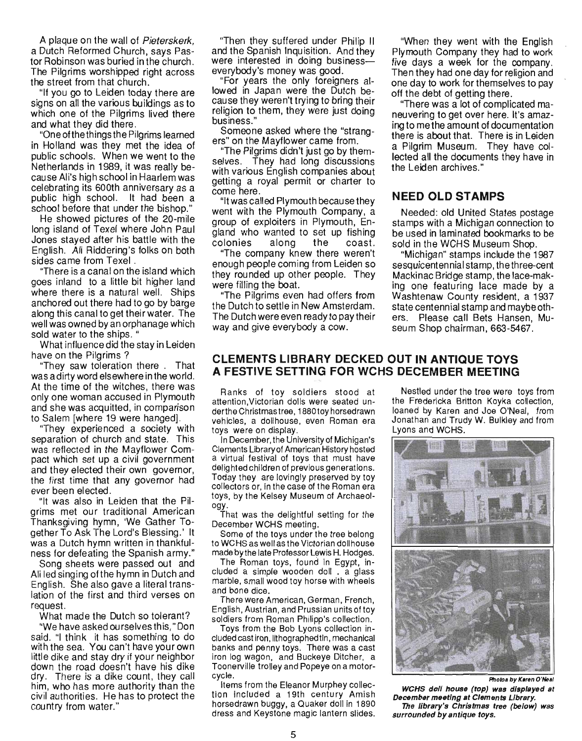A plaque on the wall of Pieterskerk, a Dutch Reformed Church, says Pastor Robinson was buried in the church. The Pilgrims worshipped right across the street from that church.

"If you go to Leiden today there are signs on all the various buildings as to which one of the Pilgrims lived there and what they did there.

"One of the things the Pilgrims learned in Holland was they met the idea of public schools. When we went to the Netherlands in 1989, it was really because Ali's high school in Haarlem was celebrating its GOOth anniversary as a public high school. It had been a school before that under the bishop."

He showed pictures of the 20-mile long island of Texel where John Paul Jones stayed after his battle with the English. Ali Riddering's folks on both sides came from Texel .

"There is a canal on the island which goes inland to a little bit higher land where there is a natural well. Ships anchored out there had to go by barge along this canal to get their water. The well was owned by an orphanage which sold water to the ships. "

What influence did the stay in Leiden have on the Pilgrims?

"They saw toleration there. That was a dirty word elsewhere in the world. At the time of the witches, there was only one woman accused in Plymouth and she was acquitted, in comparison to Salem [where 19 were hanged].

"They experienced a SOCiety with separation of church and state. This was reflected in the Mayflower Compact which set up a civil government and they elected their own governor, the first time that any governor had ever been elected.

"It was also in Leiden that the Pilgrims met our traditional American Thanksgiving hymn, 'We Gather Together To Ask The Lord's Blessing.' It was a Dutch hymn written in thankfulness for defeating the Spanish army."

Song sheets were passed out and Ali led singing ofthe hymn in Dutch and English. She also gave a literal translation of the first and third verses on request.

What made the Dutch so tolerant?

"We have asked ourselves this," Don said. "I think it has something to do with the sea. You can't have your own little dike and stay dry if your neighbor down the road doesn't have his dike dry. There is a dike count, they call him, who has more authority than the civil authorities. He has to protect the cou ntry from water."

"Then they suffered under Philip II and the Spanish Inquisition. And they were interested in doing business everybody's money was good.

"For years the only foreigners allowed in Japan were the Dutch because they weren't trying to bring their religion to them, they were just doing business."

Someone asked where the "strangers" on the Mayflower came from.

"The Pilgrims didn't just go by themselves. They had long discussions with various English companies about getting a royal permit or charter to come here.

"It was called Plymouth because they went with the Plymouth Company, a group of exploiters in Plymouth, England who wanted to set up fishing colonies along the coast.

"The company knew there weren't enough people coming from Leiden so they rounded up other people. They were filling the boat.

"The Pilgrims even had offers from the Dutch to settle in New Amsterdam . The Dutch were even ready to pay their way and give everybody a cow.

"When they went with the English Plymouth Company they had to work five days a week for the company. Then they had one day for religion and one day to work for themselves to pay off the debt of getting there.

"There was a lot of complicated maneuvering to get over here. It's amazingto methe amount of documentation there is about that. There is in Leiden a Pilgrim Museum. They have collected all the documents they have in the Leiden archives."

#### **NEED OLD STAMPS**

Needed: old United States postage stamps with a Michigan connection to be used in laminated bookmarks to be sold in the WCHS Museum Shop.

"Michigan" stamps include the 1987 sesquicentennial stamp, the three-cent Mackinac Bridge stamp, the lace-making one featuring lace made by a Washtenaw County resident, a 1937 state centennial stamp and maybeothers. Please call Bets Hansen, Museum Shop chairman, 663-5467.

#### **CLEMENTS LIBRARY DECKED OUT IN ANTIQUE TOYS A FESTIVE SETTING FOR WCHS DECEMBER MEETING**

Ranks of toy soldiers stood at attention, Victorian dolls were seated underthe Christmastree, 1880toy horsedrawn vehicles, a dollhouse, even Roman era toys were on display.

In December, the University of Michigan's Clements Library of American History hosted a virtual festival of toys that must have delighted children of previous generations. Today they are lovingly preserved by toy collectors or, in the case of the Roman era toys, by the Kelsey Museum of Archaeology.

That was the delightful setting for the December WCHS meeting.

Some of the toys under the tree belong to WCHS as well as the Victorian dollhouse made by the late Professor Lewis H. Hodges.

The Roman toys, found in Egypt, included a simple wooden doll . a glass marble, small wood toy horse with wheels and bone dice.

There were American, German, French, English, Austrian, and Prussian units of toy soldiers from Roman Philipp's collection.

Toys from the Bob Lyons collection included cast iron, lithographed tin, mechanical banks and penny toys. There was a cast iron log wagon, and Buckeye Ditcher, a Toonerville trolley and Popeye on a motorcycle.

Items from the Eleanor Murphey collection included a 19th century Amish horsedrawn buggy, a Quaker doll in 1890 dress and Keystone magic lantern slides.

Nestled under the tree were toys from the Fredericka Britton Koyka collection, loaned by Karen and Joe O'Neal, from Jonathan and Trudy W. Bulkley and from Lyons and WCHS.



**Photos by Karen O'Near** WCHS doll house (top) was displayed at December meeting at Clements Library. The library's Christmas tree (below) was surrounded by antique toys.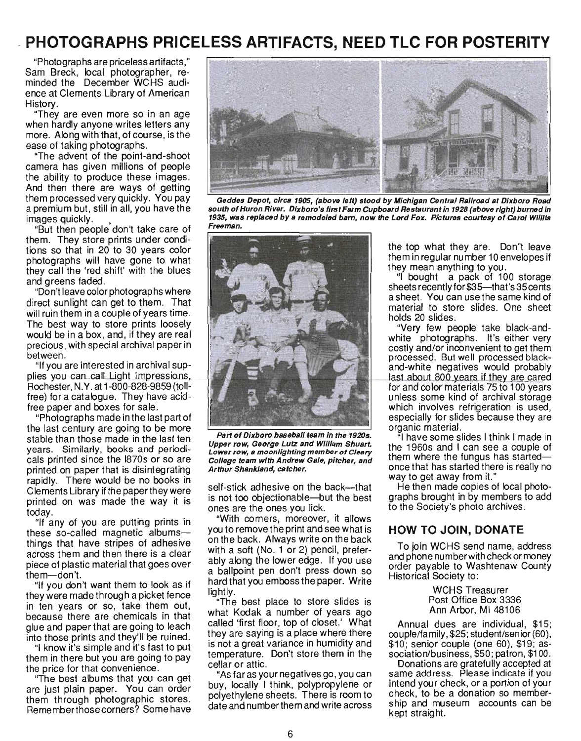## · **PHOTOGRAPHS PRICELESS ARTIFACTS, NEED TLC FOR POSTERITY**

"Photographs are priceless artifacts," Sam Breck, local photographer, reminded the December WCHS audience at Clements Library of American History.

"They are even more so in an age when hardly anyone writes letters any more. Along with that, of course, is the ease of taking photographs.

"The advent of the point-and-shoot camera has given millions of people the ability to produce these images. And then there are ways of getting them processed very quickly. You pay a premium but, still in all, you have the images quickly.

"But then people don't take care of them. They store prints under conditions so that in 20 to 30 years color photographs will have gone to what they call the 'red shift' with the blues and greens faded.

"Don't leave color photographs where direct sunlight can get to them. That will ruin them in a couple of years time. The best way to store prints loosely would be in a box, and, if they are real precious, with special archival paper in between.

"If you are interested in archival supplies you can call Light Impressions, Rochester, N. Y. at 1-800-828-9859 (tollfree) for a catalogue. They have acidfree paper and boxes for sale.

"Photographs made in the last part of the last century are going to be more stable than those made in the last ten years. Similarly, books and periodicals printed since the 1870s or so are printed on paper that is disintegrating rapidly. There would be no books in Clements Library if the paperthey were printed on was made the way it is today.

"If any of you are putting prints in these so-called magnetic albumsthings that have stripes of adhesive across them and then there is a clear piece of plastic material that goes over them-don't.

"If you don't want them to look as if they were made through a picket fence in ten years or so, take them out, because there are chemicals in that glue and paper that are going to leach into those prints and they'll be ruined.

"I know it's simple and it's fast to put them in there but you are going to pay the price for that convenience.

"The best albums that you can get are just plain paper. You can order them through photographic stores. Rememberthosecorners? Some have



Geddes Depot, circa 1905, (above left) stood by Michigan Central Railroad at Dixboro Road south of Huron River. Dixboro's first Farm Cupboard Restaurant in 1928 (above right) burned in 1935, was replaced by a remodeled barn, now the Lord Fox. Pictures courtesy of carol Willits Freeman.



Part of Dixboro baseball team in the 1920s. Upper row, George Lutz and William Shuart. Lower row, a moonlighting member of Cleary College team with Andrew Gale, pitcher, and Arthur Shankland, catcher.

self-stick adhesive on the back—that is not too objectionable-but the best ones are the ones you lick.

"With corners, moreover, it allows you to remove the print and see what is on the back. Always write on the back with a soft (No. 1 or 2) pencil, preferably along the lower edge. If you use a ballpoint pen don't press down so hard that you emboss the paper. Write lightly.

The best place to store slides is what Kodak a number of years ago called 'first floor, top of closet.' What they are saying is a place where there is not a great variance in humidity and temperature. Don't store them in the cellar or attic.

"As far as your negatives go, you can buy, locally I think, polypropylene or polyethylene sheets. There is room to date and number them and write across

the top what they are. Don"t leave them in regular number 10 envelopes if they mean anything to you.

"I bought a pack of 100 storage sheets recently for \$35—that's 35 cents a sheet. You can use the same kind of material to store slides. One sheet holds 20 slides.

"Very few people take black-andwhite photographs. It's either very costly and/or inconvenient to get them processed. But well processed blackand-white negatives would probably last about 800 years if they are cared for and color materials 75 to 100 years unless some kind of archival storage which involves refrigeration is used, especially for slides because they are organic material.

"I have some slides I think I made in the 1960s and I can see a couple of them where the fungus has startedonce that has started there is really no way to get away from it."

He then made copies of local photographs brought in by members to add to the Society's photo archives.

#### **HOW TO JOIN, DONATE**

To join WCHS send name, address and phone number with check or money order payable to Washtenaw County Historical Society to:

> WCHS Treasurer Post Office Box 3336 Ann Arbor, MI 48106

Annual dues are individual, \$15; couple/family, \$25; student/senior (60), \$10; senior couple (one 60), \$19; association/business, \$50; patron, \$100.

Donations are gratefully accepted at same address. Please indicate if you intend your check, or a portion of your check, to be a donation so membership and museum accounts can be kept straight.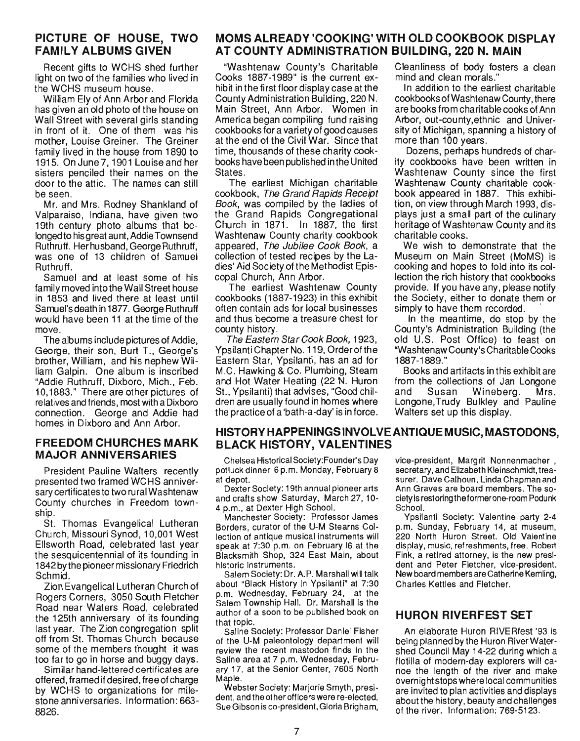#### **PICTURE OF HOUSE, TWO FAMILY ALBUMS GIVEN**

Recent gifts to WCHS shed further light on two of the families who lived in the WCHS museum house.

William Ely of Ann Arbor and Florida has given an old photo of the house on Wall Street with several girls standing in front of it. One of them was his mother, Louise Greiner. The Greiner family lived in the house from 1890 to 1915. OnJune7, 1901 Louise and her sisters penciled their names on the door to the attic. The names can still be seen.

Mr. and Mrs. Rodney Shankland of Valparaiso, Indiana, have given two 19th century photo albums that belonged to his great aunt, Addie Townsend Ruthruff. Herhusband, George Ruthruff, was one of 13 children of Samuel Ruthruff.

Samuel and at least some of his family moved into the Wall Street house in 1853 and lived there at least until Samuel's death in 1877. George Ruthruff would have been 11 at the time of the move.

The albums include pictures of Addie, George, their son, Burt T., George's brother, William, and his nephew William Galpin. One album is inscribed "Addie Ruthruff, Dixboro, Mich., Feb. 10,1883." There are other pictures of relatives and friends, most with a Dixboro connection. George and Addie had homes in Dixboro and Ann Arbor.

#### **FREEDOM CHURCHES MARK MAJOR ANNIVERSARIES**

President Pauline Walters recently presented two framed WCHS anniversary certificates to two rural Washtenaw County churches in Freedom township.

St. Thomas Evangelical Lutheran Church, Missouri Synod, 10,001 West Ellsworth Road, celebrated last year the sesquicentennial of its founding in 1842 by the pioneer missionary Friedrich Schmid.

Zion Evangelical Lutheran Church of Rogers Corners, 3050 South Fletcher Road near Waters Road, celebrated the 12Sth anniversary of its founding last year. The Zion congregation split off from St. Thomas Church because some of the members thought it was too far to go in horse and buggy days.

Similar hand-lettered certificates are offered, framed if desired, free of charge by WCHS to organizations for milestone anniversaries. Information: 663- 8826.

#### **MOMS ALREADY 'COOKING' WITH OLD COOKBOOK DISPLAY AT COUNTY ADMINISTRATION BUILDING, 220 N. MAIN**

"Washtenaw County's Charitable Cooks 1887-1989" is the current exhibit in the first floor display case at the County Administration Building, 220 N. Main Street, Ann Arbor. Women in America began compiling fund raising cookbooks for a variety of good causes at the end of the Civil War. Since that time, thousands of these charity cookbooks have been published in the United States.

The earliest Michigan charitable cookbook, The Grand Rapids Receipt Book, was compiled by the ladies of the Grand Rapids Congregational Church in 1871. In 1887, the first Washtenaw County charity cookbook appeared, The Jubilee Cook Book, a collection of tested recipes by the Ladies' Aid Society of the Methodist Episcopal Church, Ann Arbor.

The earliest Washtenaw County cookbooks (1887-1923) in this exhibit often contain ads for local businesses and thus become a treasure chest for county history.

The Eastern Star Cook Book, 1923, Ypsilanti Chapter No. 119, Orderofthe Eastern Star, Ypsilanti, has an ad for M.C. Hawking & Co. Plumbing, Steam and Hot Water Heating (22 N. Huron St., Ypsilanti) that advises, "Good children are usually found in homes where the practice of a 'bath-a-day' is in force. Cleanliness of body fosters a clean mind and clean morals."

In addition to the earliest charitable cookbooks of Washtenaw County, there are books from charitable cooks of Ann Arbor, out-county, ethnic and University of Michigan, spanning a history of more than 100 years.

Dozens, perhaps hundreds of charity cookbooks have been written in Washtenaw County since the first Washtenaw County charitable cookbook appeared in 1887. This exhibition, on view through March 1993, displays just a small part of the culinary heritage of Washtenaw County and its charitable cooks.

We wish to demonstrate that the Museum on Main Street (MoMS) is cooking and hopes to fold into its collection the rich history that cookbooks provide. If you have any, please notify the Society, either to donate them or simply to have them recorded.

In the meantime, do stop by the County's Administration Building (the old U.S. Post Office) to feast on "Washtenaw County's Charitable Cooks 1887-1889."

Books and artifacts in this exhibit are from the collections of Jan Longone and Susan Wineberg. Mrs. Longone,Trudy Bulkley and Pauline Walters set up this display.

#### **HISTORY HAPPENINGS INVOLVE ANTIQUE MUSIC, MASTODONS, BLACK HISTORY, VALENTINES**

Chelsea Historical Society:Founder's Day potluck dinner 6 p.m. Monday, February 8 at depot.

Dexter Society: 19th annual pioneer arts and crafts show Saturday, March 27, 10- 4 p.m., at Dexter High School.

Manchester Society: Professor James Borders, curator of the U-M Stearns Collection of antique musical instruments will speak at 7:30 p.m. on February 16 at the Blacksmith Shop, 324 East Main, about historic instruments.

Salem Society: Dr. A.P. Marshall will talk about "Black History in Ypsilanti" at 7:30 p.m. Wednesday, February 24, at the Salem TownShip Hall. Dr. Marshall is the author of a soon to be published book on that topic.

Saline Society: Professor Daniel Fisher of the U-M paleontology department will review the recent mastodon finds in the Saline area at 7 p.m. Wednesday, February 17. at the Senior Center. 7605 North Maple.

Webster Society: Marjorie Smyth, president, and the other officers were re-elected. Sue Gibson is co-president, Gloria Brigham, vice-president, Margrit Nonnenmacher , secretary, and Elizabeth Kleinschmidt. treasurer. Dave Calhoun, Linda Chapman and Ann Graves are board members. The society is restoring the former one-room Podunk School.

Ypsilanti Society: Valentine party 2-4 p.m. Sunday, February 14, at museum, 220 North Huron Street. Old Valentine display, music, refreshments, free. Robert Fink, a retired attorney, is the new president and Peter Fletcher, vice-president. New board members are Catherine Kemling, Charles Kettles and Fletcher.

#### **HURON RIVERFEST SET**

An elaborate Huron RIVERfest '93 is being planned by the Huron River Watershed Council May 14-22 during which a flotilla of modern-day explorers will canoe the length of the river and make overnightstops where local communities are invited to plan activities and displays about the history, beauty and challenges of the river. Information: 769-5123.